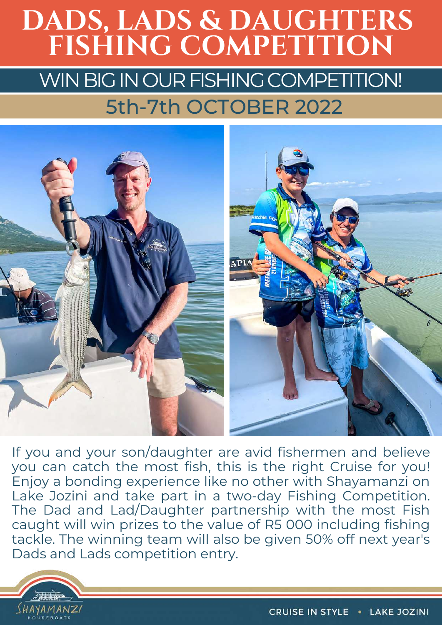# WIN BIG IN OUR FISHING COMPETITION! **DADS, LADS & DAUGHTERS FISHING COMPETITION** 5th-7th OCTOBER 2022



If you and your son/daughter are avid fishermen and believe you can catch the most fish, this is the right Cruise for you! Enjoy a bonding experience like no other with Shayamanzi on Lake Jozini and take part in a two-day Fishing Competition. The Dad and Lad/Daughter partnership with the most Fish caught will win prizes to the value of R5 000 including fishing tackle. The winning team will also be given 50% off next year's Dads and Lads competition entry.

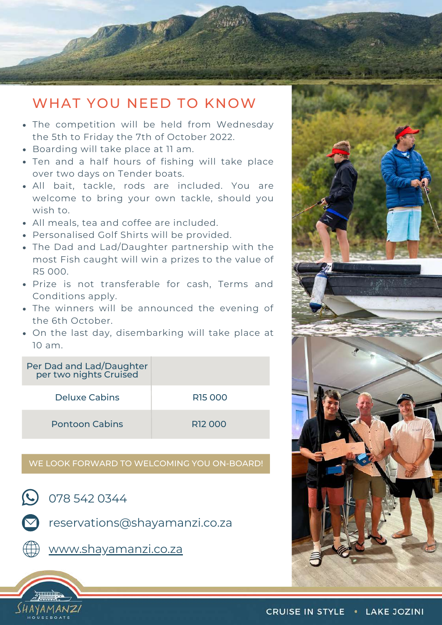#### WHAT YOU NEED TO KNOW

- The competition will be held from Wednesday the 5th to Friday the 7th of October 2022.
- Boarding will take place at 11 am.
- Ten and a half hours of fishing will take place over two days on Tender boats.
- All bait, tackle, rods are included. You are welcome to bring your own tackle, should you wish to.
- All meals, tea and coffee are included.
- Personalised Golf Shirts will be provided.
- The Dad and Lad/Daughter partnership with the most Fish caught will win a prizes to the value of R5 000.
- Prize is not transferable for cash, Terms and Conditions apply.
- The winners will be announced the evening of the 6th October.
- On the last day, disembarking will take place at 10 am.

| Per Dad and Lad/Daughter<br>per two nights Cruised |                     |
|----------------------------------------------------|---------------------|
| Deluxe Cabins                                      | R <sub>15</sub> 000 |
| <b>Pontoon Cabins</b>                              | R <sub>12</sub> 000 |

#### WE LOOK FORWARD TO WELCOMING YOU ON-BOARD!

 $\omega$  078 542 0344



reservations@shayamanzi.co.za



SHAYAMANZI

[www.shayamanzi.co.za](https://www.shayamanzi.co.za/)



#### CRUISE IN STYLE . LAKE JOZINI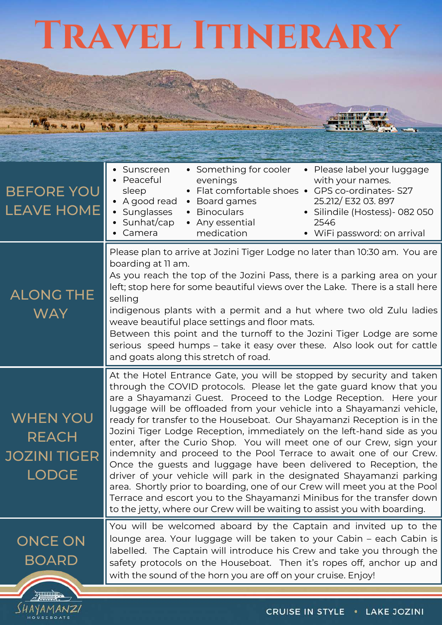# **Travel Itinerary**

**HOTHE TOO AND** 

 $\frac{\sqrt{HAYAMANZ}}{HOMSEBOATS}$ 

**WAR RN** 

| <b>BEFORE YOU</b><br><b>LEAVE HOME</b>                          | • Something for cooler<br>• Please label your luggage<br>• Sunscreen<br>Peaceful<br>with your names.<br>evenings<br>Flat comfortable shoes •<br>GPS co-ordinates-S27<br>sleep<br>$\bullet$<br>25.212/ E32 03. 897<br>• A good read<br>Board games<br>$\bullet$<br>Sunglasses<br><b>Binoculars</b><br>• Silindile (Hostess) - 082 050<br>Sunhat/cap<br>• Any essential<br>2546<br>medication<br>• WiFi password: on arrival<br>Camera                                                                                                                                                                                                                                                                                                                                                                                                                                                                                                                                                 |  |
|-----------------------------------------------------------------|--------------------------------------------------------------------------------------------------------------------------------------------------------------------------------------------------------------------------------------------------------------------------------------------------------------------------------------------------------------------------------------------------------------------------------------------------------------------------------------------------------------------------------------------------------------------------------------------------------------------------------------------------------------------------------------------------------------------------------------------------------------------------------------------------------------------------------------------------------------------------------------------------------------------------------------------------------------------------------------|--|
| <b>ALONG THE</b><br><b>WAY</b>                                  | Please plan to arrive at Jozini Tiger Lodge no later than 10:30 am. You are<br>boarding at 11 am.<br>As you reach the top of the Jozini Pass, there is a parking area on your<br>left; stop here for some beautiful views over the Lake. There is a stall here<br>selling<br>indigenous plants with a permit and a hut where two old Zulu ladies<br>weave beautiful place settings and floor mats.<br>Between this point and the turnoff to the Jozini Tiger Lodge are some<br>serious speed humps - take it easy over these. Also look out for cattle<br>and goats along this stretch of road.                                                                                                                                                                                                                                                                                                                                                                                      |  |
| <b>WHEN YOU</b><br><b>REACH</b><br>JOZINI TIGER<br><b>LODGE</b> | At the Hotel Entrance Gate, you will be stopped by security and taken<br>through the COVID protocols. Please let the gate guard know that you<br>are a Shayamanzi Guest. Proceed to the Lodge Reception. Here your<br>luggage will be offloaded from your vehicle into a Shayamanzi vehicle,<br>ready for transfer to the Houseboat. Our Shayamanzi Reception is in the<br>Jozini Tiger Lodge Reception, immediately on the left-hand side as you<br>enter, after the Curio Shop. You will meet one of our Crew, sign your<br>indemnity and proceed to the Pool Terrace to await one of our Crew.<br>Once the guests and luggage have been delivered to Reception, the<br>driver of your vehicle will park in the designated Shayamanzi parking<br>area. Shortly prior to boarding, one of our Crew will meet you at the Pool<br>Terrace and escort you to the Shayamanzi Minibus for the transfer down<br>to the jetty, where our Crew will be waiting to assist you with boarding. |  |
| <b>ONCE ON</b><br><b>BOARD</b>                                  | You will be welcomed aboard by the Captain and invited up to the<br>lounge area. Your luggage will be taken to your Cabin - each Cabin is<br>labelled. The Captain will introduce his Crew and take you through the<br>safety protocols on the Houseboat. Then it's ropes off, anchor up and<br>with the sound of the horn you are off on your cruise. Enjoy!                                                                                                                                                                                                                                                                                                                                                                                                                                                                                                                                                                                                                        |  |

**RAMMAN APPLE The Line** 

**ALL NOW**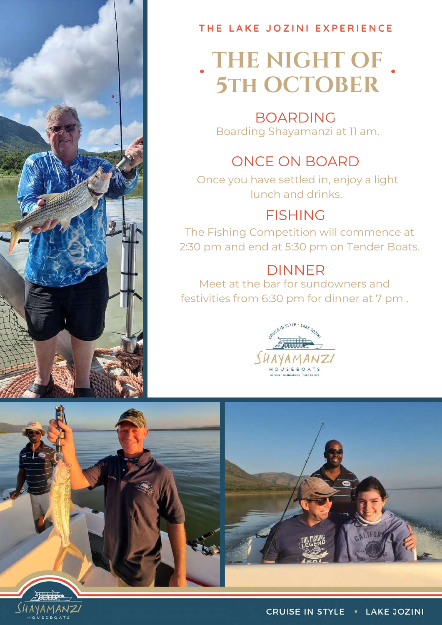

#### **T H E L A K E J O Z I N I E X P E R I E N C E**

# **THE NIGHT OF 5th OCTOBER**

#### BOARDING Boarding Shayamanzi at 11 am.

### ONCE ON BOARD

Once you have settled in, enjoy a light lunch and drinks.

#### FISHING

The Fishing Competition will commence at 2:30 pm and end at 5:30 pm on Tender Boats.

### DINNER

Meet at the bar for sundowners and festivities from 6:30 pm for dinner at 7 pm .





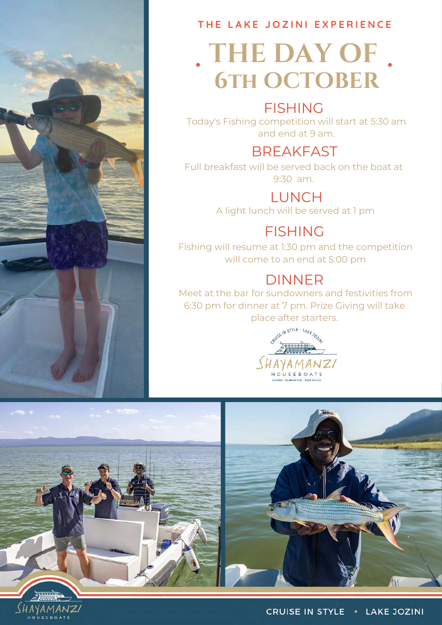

**T H E L A K E J O Z I N I E X P E R I E N C E**

# **THE DAY OF 6th OCTOBER**

#### FISHING

Today's Fishing competition will start at 5:30 am and end at 9 am.

#### **BREAKFAST**

Full breakfast will be served back on the boat at 9:30 am.

> LUNCH A light lunch will be served at 1 pm

### FISHING

Fishing will resume at 1:30 pm and the competition will come to an end at 5:00 pm

#### DINNER

Meet at the bar for sundowners and festivities from 6:30 pm for dinner at 7 pm. Prize Giving will take place after starters.





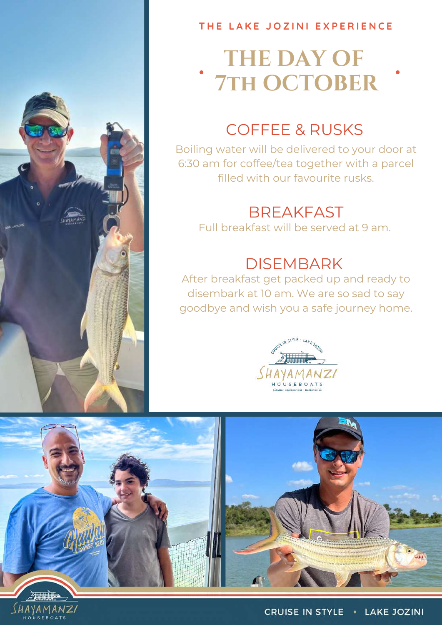

SHAYAMANZI

#### **T H E L A K E J O Z I N I E X P E R I E N C E**

# **THE DAY OF 7th OCTOBER**

### COFFEE & RUSKS

Boiling water will be delivered to your door at 6:30 am for coffee/tea together with a parcel filled with our favourite rusks.

### **BREAKFAST**

Full breakfast will be served at 9 am.

### **DISEMBARK**

After breakfast get packed up and ready to disembark at 10 am. We are so sad to say goodbye and wish you a safe journey home.